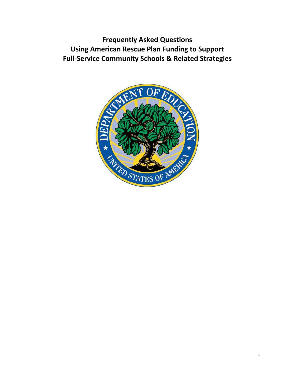**Frequently Asked Questions Using American Rescue Plan Funding to Support Full-Service Community Schools & Related Strategies**

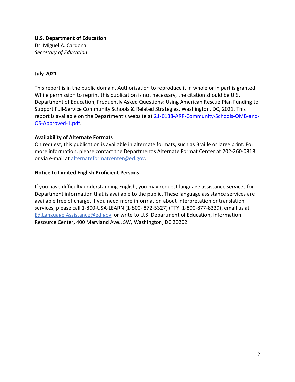**U.S. Department of Education**  Dr. Miguel A. Cardona *Secretary of Education* 

#### **July 2021**

This report is in the public domain. Authorization to reproduce it in whole or in part is granted. While permission to reprint this publication is not necessary, the citation should be U.S. Department of Education, Frequently Asked Questions: Using American Rescue Plan Funding to Support Full-Service Community Schools & Related Strategies, Washington, DC, 2021. This report is available on the Department's website at [21-0138-ARP-Community-Schools-OMB-and-](https://oese.ed.gov/files/2021/07/21-0138-ARP-Community-Schools-OMB-and-OS-Approved-071421-1.pdf)[OS-Approved-1.pdf.](https://oese.ed.gov/files/2021/07/21-0138-ARP-Community-Schools-OMB-and-OS-Approved-071421-1.pdf)

#### **Availability of Alternate Formats**

On request, this publication is available in alternate formats, such as Braille or large print. For more information, please contact the Department's Alternate Format Center at 202-260-0818 or via e-mail at [alternateformatcenter@ed.gov.](mailto:alternateformatcenter@ed.gov)

#### **Notice to Limited English Proficient Persons**

If you have difficulty understanding English, you may request language assistance services for Department information that is available to the public. These language assistance services are available free of charge. If you need more information about interpretation or translation services, please call 1-800-USA-LEARN (1-800- 872-5327) (TTY: 1-800-877-8339), email us at Ed.Language.Assistance@ed.gov, or write to U.S. Department of Education, Information Resource Center, 400 Maryland Ave., SW, Washington, DC 20202.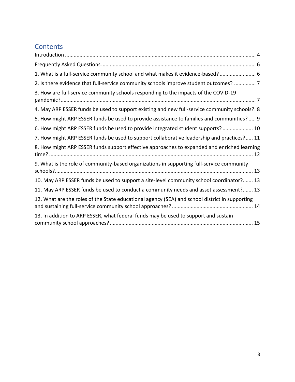# **Contents**

| 1. What is a full-service community school and what makes it evidence-based? 6                 |
|------------------------------------------------------------------------------------------------|
| 2. Is there evidence that full-service community schools improve student outcomes?  7          |
| 3. How are full-service community schools responding to the impacts of the COVID-19            |
| 4. May ARP ESSER funds be used to support existing and new full-service community schools?. 8  |
| 5. How might ARP ESSER funds be used to provide assistance to families and communities?  9     |
| 6. How might ARP ESSER funds be used to provide integrated student supports? 10                |
| 7. How might ARP ESSER funds be used to support collaborative leadership and practices? 11     |
| 8. How might ARP ESSER funds support effective approaches to expanded and enriched learning    |
| 9. What is the role of community-based organizations in supporting full-service community      |
| 10. May ARP ESSER funds be used to support a site-level community school coordinator? 13       |
| 11. May ARP ESSER funds be used to conduct a community needs and asset assessment? 13          |
| 12. What are the roles of the State educational agency (SEA) and school district in supporting |
| 13. In addition to ARP ESSER, what federal funds may be used to support and sustain            |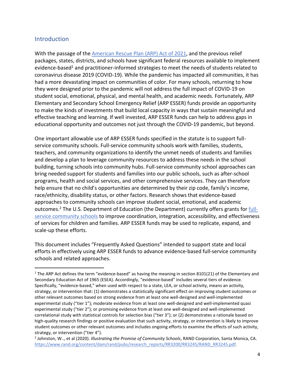#### <span id="page-3-0"></span>Introduction

With the passage of th[e American Rescue Plan \(ARP\) Act](https://www.congress.gov/117/bills/hr1319/BILLS-117hr1319enr.pdf) of 2021, and the previous relief packages, states, districts, and schools have significant federal resources available to implement evidence-based<sup>1</sup> and practitioner-informed strategies to meet the needs of students related to coronavirus disease 2019 (COVID-19). While the pandemic has impacted all communities, it has had a more devastating impact on communities of color. For many schools, returning to how they were designed prior to the pandemic will not address the full impact of COVID-19 on student social, emotional, physical, and mental health, and academic needs. Fortunately, ARP Elementary and Secondary School Emergency Relief (ARP ESSER) funds provide an opportunity to make the kinds of investments that build local capacity in ways that sustain meaningful and effective teaching and learning. If well invested, ARP ESSER funds can help to address gaps in educational opportunity and outcomes not just through the COVID-19 pandemic, but beyond.

One important allowable use of ARP ESSER funds specified in the statute is to support fullservice community schools. Full-service community schools work with families, students, teachers, and community organizations to identify the unmet needs of students and families and develop a plan to leverage community resources to address these needs in the school building, turning schools into community hubs. Full-service community school approaches can bring needed support for students and families into our public schools, such as after-school programs, health and social services, and other comprehensive services. They can therefore help ensure that no child's opportunities are determined by their zip code, family's income, race/ethnicity, disability status, or other factors. Research shows that evidence-based approaches to community schools can improve student social, emotional, and academic outcomes.<sup>2</sup> The U.S. Department of Education (the Department) currently offers grants for [full](https://oese.ed.gov/offices/office-of-discretionary-grants-support-services/school-choice-improvement-programs/full-service-community-schools-program-fscs/)[service community schools](https://oese.ed.gov/offices/office-of-discretionary-grants-support-services/school-choice-improvement-programs/full-service-community-schools-program-fscs/) to improve coordination, integration, accessibility, and effectiveness of services for children and families. ARP ESSER funds may be used to replicate, expand, and scale-up these efforts.

This document includes "Frequently Asked Questions" intended to support state and local efforts in effectively using ARP ESSER funds to advance evidence-based full-service community schools and related approaches.

<sup>&</sup>lt;sup>1</sup> The ARP Act defines the term "evidence-based" as having the meaning in section 8101(21) of the Elementary and Secondary Education Act of 1965 (ESEA). Accordingly, "evidence-based" includes several tiers of evidence. Specifically, "evidence-based," when used with respect to a state, LEA, or school activity, means an activity, strategy, or intervention that: (1) demonstrates a statistically significant effect on improving student outcomes or other relevant outcomes based on strong evidence from at least one well-designed and well-implemented experimental study ("tier 1"); moderate evidence from at least one well-designed and well-implemented quasi experimental study ("tier 2"); or promising evidence from at least one well-designed and well-implemented correlational study with statistical controls for selection bias ("tier 3"); or (2) demonstrates a rationale based on high-quality research findings or positive evaluation that such activity, strategy, or intervention is likely to improve student outcomes or other relevant outcomes and includes ongoing efforts to examine the effects of such activity, strategy, or intervention ("tier 4").

<sup>2</sup> Johnston, W.., et al (2020). *Illustrating the Promise of Community Schools*, RAND Corporation, Santa Monica, CA. [https://www.rand.org/content/dam/rand/pubs/research\\_reports/RR3200/RR3245/RAND\\_RR3245.pdf.](https://www.rand.org/content/dam/rand/pubs/research_reports/RR3200/RR3245/RAND_RR3245.pdf)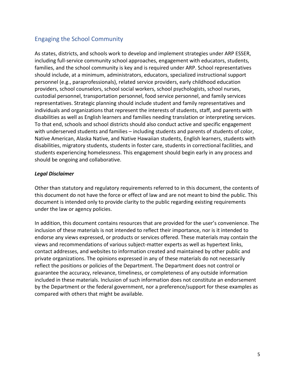#### Engaging the School Community

As states, districts, and schools work to develop and implement strategies under ARP ESSER, including full-service community school approaches, engagement with educators, students, families, and the school community is key and is required under ARP. School representatives should include, at a minimum, administrators, educators, specialized instructional support personnel (e.g., paraprofessionals), related service providers, early childhood education providers, school counselors, school social workers, school psychologists, school nurses, custodial personnel, transportation personnel, food service personnel, and family services representatives. Strategic planning should include student and family representatives and individuals and organizations that represent the interests of students, staff, and parents with disabilities as well as English learners and families needing translation or interpreting services. To that end, schools and school districts should also conduct active and specific engagement with underserved students and families – including students and parents of students of color, Native American, Alaska Native, and Native Hawaiian students, English learners, students with disabilities, migratory students, students in foster care, students in correctional facilities, and students experiencing homelessness. This engagement should begin early in any process and should be ongoing and collaborative.

#### *Legal Disclaimer*

Other than statutory and regulatory requirements referred to in this document, the contents of this document do not have the force or effect of law and are not meant to bind the public. This document is intended only to provide clarity to the public regarding existing requirements under the law or agency policies.

In addition, this document contains resources that are provided for the user's convenience. The inclusion of these materials is not intended to reflect their importance, nor is it intended to endorse any views expressed, or products or services offered. These materials may contain the views and recommendations of various subject-matter experts as well as hypertext links, contact addresses, and websites to information created and maintained by other public and private organizations. The opinions expressed in any of these materials do not necessarily reflect the positions or policies of the Department. The Department does not control or guarantee the accuracy, relevance, timeliness, or completeness of any outside information included in these materials. Inclusion of such information does not constitute an endorsement by the Department or the federal government, nor a preference/support for these examples as compared with others that might be available.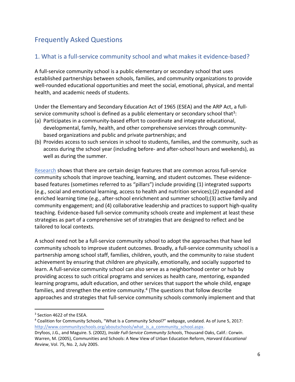# <span id="page-5-0"></span>Frequently Asked Questions

### <span id="page-5-1"></span>1. What is a full-service community school and what makes it evidence-based?

A full-service community school is a public elementary or secondary school that uses established partnerships between schools, families, and community organizations to provide well-rounded educational opportunities and meet the social, emotional, physical, and mental health, and academic needs of students.

Under the Elementary and Secondary Education Act of 1965 (ESEA) and the ARP Act, a fullservice community school is defined as a public elementary or secondary school that<sup>3</sup>:

- (a) Participates in a community-based effort to coordinate and integrate educational, developmental, family, health, and other comprehensive services through communitybased organizations and public and private partnerships; and
- (b) Provides access to such services in school to students, families, and the community, such as access during the school year (including before- and after-school hours and weekends), as well as during the summer.

[Research](https://docs.google.com/spreadsheets/d/1xh0STxHsDf1F1A7A8ed6v0RCbj9v2U0M1_d2eGcgDOM/edit#gid=308054236) shows that there are certain design features that are common across full-service community schools that improve teaching, learning, and student outcomes. These evidencebased features (sometimes referred to as "pillars") include providing (1) integrated supports (e.g., social and emotional learning, access to health and nutrition services);(2) expanded and enriched learning time (e.g., after-school enrichment and summer school);(3) active family and community engagement; and (4) collaborative leadership and practices to support high-quality teaching. Evidence-based full-service community schools create and implement at least these strategies as part of a comprehensive set of strategies that are designed to reflect and be tailored to local contexts.

A school need not be a full-service community school to adopt the approaches that have led community schools to improve student outcomes. Broadly, a full-service community school is a partnership among school staff, families, children, youth, and the community to raise student achievement by ensuring that children are physically, emotionally, and socially supported to learn. A full-service community school can also serve as a neighborhood center or hub by providing access to such critical programs and services as health care, mentoring, expanded learning programs, adult education, and other services that support the whole child, engage families, and strengthen the entire community. 4 (The questions that follow describe approaches and strategies that full-service community schools commonly implement and that

<sup>3</sup> Section 4622 of the ESEA.

<sup>4</sup> Coalition for Community Schools, "What Is a Community School?" webpage, undated. As of June 5, 2017: [http://www.communityschools.org/aboutschools/what\\_is\\_a\\_community\\_school.aspx.](http://www.communityschools.org/aboutschools/what_is_a_community_school.aspx)

Dryfoos, J.G., and Maguire. S. (2002), *Inside Full-Service Community Schools*, Thousand Oaks, Calif.: Corwin. Warren, M. (2005), Communities and Schools: A New View of Urban Education Reform, *Harvard Educational Review*, Vol. 75, No. 2, July 2005.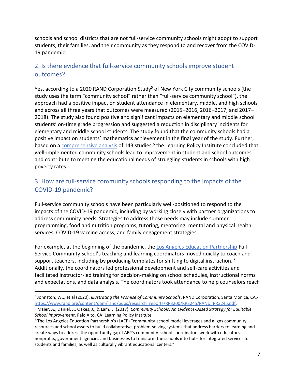schools and school districts that are not full-service community schools might adopt to support students, their families, and their community as they respond to and recover from the COVID-19 pandemic.

## <span id="page-6-0"></span>2. Is there evidence that full-service community schools improve student outcomes?

Yes, according to a 2020 RAND Corporation Study<sup>5</sup> of New York City community schools (the study uses the term "community school" rather than "full-service community school"), the approach had a positive impact on student attendance in elementary, middle, and high schools and across all three years that outcomes were measured (2015–2016, 2016–2017, and 2017– 2018). The study also found positive and significant impacts on elementary and middle school students' on-time grade progression and suggested a reduction in disciplinary incidents for elementary and middle school students. The study found that the community schools had a positive impact on students' mathematics achievement in the final year of the study. Further, based on a **comprehensive analysis** of 143 studies,<sup>6</sup> the Learning Policy Institute concluded that well-implemented community schools lead to improvement in student and school outcomes and contribute to meeting the educational needs of struggling students in schools with high poverty rates.

## <span id="page-6-1"></span>3. How are full-service community schools responding to the impacts of the COVID-19 pandemic?

Full-service community schools have been particularly well-positioned to respond to the impacts of the COVID-19 pandemic, including by working closely with partner organizations to address community needs. Strategies to address those needs may include summer programming, food and nutrition programs, tutoring, mentoring, mental and physical health services, COVID-19 vaccine access, and family engagement strategies.

For example, at the beginning of the pandemic, th[e Los Angeles Education Partnership](https://www.laep.org/what-we-do/) Full-Service Community School's teaching and learning coordinators moved quickly to coach and support teachers, including by producing templates for shifting to digital instruction.<sup>7</sup> Additionally, the coordinators led professional development and self-care activities and facilitated instructor-led training for decision-making on school schedules, instructional norms and expectations, and data analysis. The coordinators took attendance to help counselors reach

<sup>5</sup> Johnston, W.., et al (2020). *Illustrating the Promise of Community Schools*, RAND Corporation, Santa Monica, CA. [https://www.rand.org/content/dam/rand/pubs/research\\_reports/RR3200/RR3245/RAND\\_RR3245.pdf.](https://www.rand.org/content/dam/rand/pubs/research_reports/RR3200/RR3245/RAND_RR3245.pdf)

<sup>6</sup> Maier, A., Daniel, J., Oakes, J., & Lam, L. (2017). *Community Schools: An Evidence-Based Strategy for Equitable School Improvement*. Palo Alto, CA: Learning Policy Institute.

 $<sup>7</sup>$  The Los Angeles Education Partnership's (LAEP) "community-school model leverages and aligns community</sup> resources and school assets to build collaborative, problem-solving systems that address barriers to learning and create ways to address the opportunity gap. LAEP's community-school coordinators work with educators, nonprofits, government agencies and businesses to transform the schools into hubs for integrated services for students and families, as well as culturally vibrant educational centers."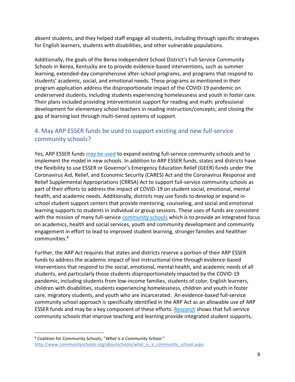absent students, and they helped staff engage all students, including through specific strategies for English learners, students with disabilities, and other vulnerable populations.

Additionally, the goals of the Berea Independent School District's Full-Service Community Schools in Berea, Kentucky are to provide evidence-based interventions, such as summer learning, extended-day comprehensive after-school programs, and programs that respond to students' academic, social, and emotional needs. These programs as mentioned in their program application address the disproportionate impact of the COVID-19 pandemic on underserved students, including students experiencing homelessness and youth in foster care. Their plans included providing interventionist support for reading and math; professional development for elementary school teachers in reading instruction/concepts; and closing the gap of learning lost through multi-tiered systems of support.

### <span id="page-7-0"></span>4. May ARP ESSER funds be used to support existing and new full-service community schools?

Yes, ARP ESSER funds [may be used](https://oese.ed.gov/files/2021/05/ESSER.GEER_.FAQs_5.26.21_745AM_FINALb0cd6833f6f46e03ba2d97d30aff953260028045f9ef3b18ea602db4b32b1d99.pdf) to expand existing full-service community schools and to implement the model in new schools. In addition to ARP ESSER funds, states and districts have the flexibility to use ESSER or Governor's Emergency Education Relief (GEER) funds under the Coronavirus Aid, Relief, and Economic Security (CARES) Act and the Coronavirus Response and Relief Supplemental Appropriations (CRRSA) Act to support full-service community schools as part of their efforts to address the impact of COVID-19 on student social, emotional, mental health, and academic needs. Additionally, districts may use funds to develop or expand inschool student support centers that provide mentoring, counseling, and social and emotional learning supports to students in individual or group sessions. These uses of funds are consistent with the mission of many full-servic[e community schools](http://www.communityschools.org/aboutschools/what_is_a_community_school.aspx) which is to provide an integrated focus on academics, health and social services, youth and community development and community engagement in effort to lead to improved student learning, stronger families and healthier communities.<sup>8</sup>

Further, the ARP Act requires that states and districts reserve a portion of their ARP ESSER funds to address the academic impact of lost instructional time through evidence-based interventions that respond to the social, emotional, mental health, and academic needs of all students, and particularly those students disproportionately impacted by the COVID-19 pandemic, including students from low-income families, students of color, English learners, children with disabilities, students experiencing homelessness, children and youth in foster care, migratory students, and youth who are incarcerated. An evidence-based full-service community school approach is specifically identified in the ARP Act as an allowable use of ARP ESSER funds and may be a key component of these efforts. [Research](https://learningpolicyinstitute.org/sites/default/files/product-files/Community_Schools_Evidence_Based_Strategy_BRIEF.pdf) shows that full-service community schools that improve teaching and learning provide integrated student supports,

<sup>8</sup> Coalition for Community Schools, "*What is a Community School.*" [http://www.communityschools.org/aboutschools/what\\_is\\_a\\_community\\_school.aspx.](http://www.communityschools.org/aboutschools/what_is_a_community_school.aspx)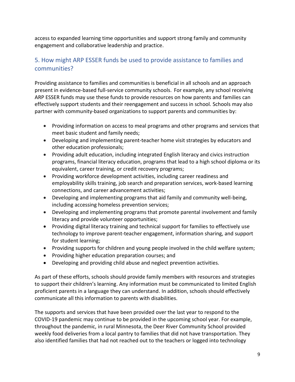access to expanded learning time opportunities and support strong family and community engagement and collaborative leadership and practice.

## <span id="page-8-0"></span>5. How might ARP ESSER funds be used to provide assistance to families and communities?

Providing assistance to families and communities is beneficial in all schools and an approach present in evidence-based full-service community schools. For example, any school receiving ARP ESSER funds may use these funds to provide resources on how parents and families can effectively support students and their reengagement and success in school. Schools may also partner with community-based organizations to support parents and communities by:

- Providing information on access to meal programs and other programs and services that meet basic student and family needs;
- Developing and implementing parent-teacher home visit strategies by educators and other education professionals;
- Providing adult education, including integrated English literacy and civics instruction programs, financial literacy education, programs that lead to a high school diploma or its equivalent, career training, or credit recovery programs;
- Providing workforce development activities, including career readiness and employability skills training, job search and preparation services, work-based learning connections, and career advancement activities;
- Developing and implementing programs that aid family and community well-being, including accessing homeless prevention services;
- Developing and implementing programs that promote parental involvement and family literacy and provide volunteer opportunities;
- Providing digital literacy training and technical support for families to effectively use technology to improve parent-teacher engagement, information sharing, and support for student learning;
- Providing supports for children and young people involved in the child welfare system;
- Providing higher education preparation courses; and
- Developing and providing child abuse and neglect prevention activities.

As part of these efforts, schools should provide family members with resources and strategies to support their children's learning. Any information must be communicated to limited English proficient parents in a language they can understand. In addition, schools should effectively communicate all this information to parents with disabilities.

The supports and services that have been provided over the last year to respond to the COVID-19 pandemic may continue to be provided in the upcoming school year. For example, throughout the pandemic, in rural Minnesota, the Deer River Community School provided weekly food deliveries from a local pantry to families that did not have transportation. They also identified families that had not reached out to the teachers or logged into technology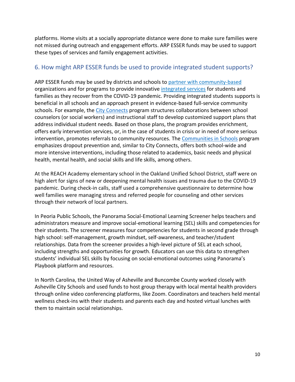platforms. Home visits at a socially appropriate distance were done to make sure families were not missed during outreach and engagement efforts. ARP ESSER funds may be used to support these types of services and family engagement activities.

#### <span id="page-9-0"></span>6. How might ARP ESSER funds be used to provide integrated student supports?

ARP ESSER funds may be used by districts and schools to [partner with community-based](https://annenberg.brown.edu/sites/default/files/EdResearch_for_Recovery_Brief_14.pdf) organizations and for programs to provide innovative [integrated services](https://safesupportivelearning.ed.gov/voices-field/what-stage-implementing-integrated-student-supports-iss-your-school) for students and families as they recover from the COVID-19 pandemic. Providing integrated students supports is beneficial in all schools and an approach present in evidence-based full-service community schools. For example, the [City Connects](https://www.bc.edu/content/bc-web/schools/lynch-school/sites/cityconnects.html) program structures collaborations between school counselors (or social workers) and instructional staff to develop customized support plans that address individual student needs. Based on those plans, the program provides enrichment, offers early intervention services, or, in the case of students in crisis or in need of more serious intervention, promotes referrals to community resources. The [Communities in Schools](https://www.communitiesinschools.org/) program emphasizes dropout prevention and, similar to City Connects, offers both school-wide and more intensive interventions, including those related to academics, basic needs and physical health, mental health, and social skills and life skills, among others.

At the REACH Academy elementary school in the Oakland Unified School District, staff were on high alert for signs of new or deepening mental health issues and trauma due to the COVID-19 pandemic. During check-in calls, staff used a comprehensive questionnaire to determine how well families were managing stress and referred people for counseling and other services through their network of local partners.

In Peoria Public Schools, the Panorama Social-Emotional Learning Screener helps teachers and administrators measure and improve social-emotional learning (SEL) skills and competencies for their students. The screener measures four competencies for students in second grade through high school: self-management, growth mindset, self-awareness, and teacher/student relationships. Data from the screener provides a high-level picture of SEL at each school, including strengths and opportunities for growth. Educators can use this data to strengthen students' individual SEL skills by focusing on social-emotional outcomes using Panorama's Playbook platform and resources.

In North Carolina, the United Way of Asheville and Buncombe County worked closely with Asheville City Schools and used funds to host group therapy with local mental health providers through online video conferencing platforms, like Zoom. Coordinators and teachers held mental wellness check-ins with their students and parents each day and hosted virtual lunches with them to maintain social relationships.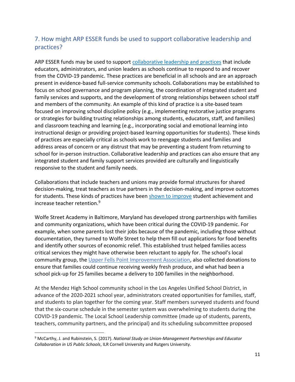### <span id="page-10-0"></span>7. How might ARP ESSER funds be used to support collaborative leadership and practices?

ARP ESSER funds may be used to support [collaborative leadership and practices](https://communityschools.futureforlearning.org/chapter-6) that include educators, administrators, and union leaders as schools continue to respond to and recover from the COVID-19 pandemic. These practices are beneficial in all schools and are an approach present in evidence-based full-service community schools. Collaborations may be established to focus on school governance and program planning, the coordination of integrated student and family services and supports, and the development of strong relationships between school staff and members of the community. An example of this kind of practice is a site-based team focused on improving school discipline policy (e.g., implementing restorative justice programs or strategies for building trusting relationships among students, educators, staff, and families) and classroom teaching and learning (e.g., incorporating social and emotional learning into instructional design or providing project-based learning opportunities for students). These kinds of practices are especially critical as schools work to reengage students and families and address areas of concern or any distrust that may be preventing a student from returning to school for in-person instruction. Collaborative leadership and practices can also ensure that any integrated student and family support services provided are culturally and linguistically responsive to the student and family needs.

Collaborations that include teachers and unions may provide formal structures for shared decision-making, treat teachers as true partners in the decision-making, and improve outcomes for students. These kinds of practices have been [shown to improve](https://www.cecweb.org/wp-content/uploads/2017/10/Union_Management_Partnerships.pdf) student achievement and increase teacher retention.<sup>9</sup>

Wolfe Street Academy in Baltimore, Maryland has developed strong partnerships with families and community organizations, which have been critical during the COVID-19 pandemic. For example, when some parents lost their jobs because of the pandemic, including those without documentation, they turned to Wolfe Street to help them fill out applications for food benefits and identify other sources of economic relief. This established trust helped families access critical services they might have otherwise been reluctant to apply for. The school's local community group, the [Upper Fells Point Improvement Association,](https://youtu.be/fy7BMIVh2xw) also collected donations to ensure that families could continue receiving weekly fresh produce, and what had been a school pick-up for 25 families became a delivery to 100 families in the neighborhood.

At the Mendez High School community school in the Los Angeles Unified School District, in advance of the 2020-2021 school year, administrators created opportunities for families, staff, and students to plan together for the coming year. Staff members surveyed students and found that the six-course schedule in the semester system was overwhelming to students during the COVID-19 pandemic. The Local School Leadership committee (made up of students, parents, teachers, community partners, and the principal) and its scheduling subcommittee proposed

<sup>9</sup> McCarthy, J. and Rubinstein, S. (2017). *National Study on Union-Management Partnerships and Educator Collaboration in US Public Schools*, ILR Cornell University and Rutgers University.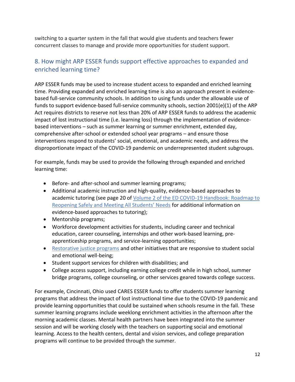switching to a quarter system in the fall that would give students and teachers fewer concurrent classes to manage and provide more opportunities for student support.

### <span id="page-11-0"></span>8. How might ARP ESSER funds support effective approaches to expanded and enriched learning time?

ARP ESSER funds may be used to increase student access to expanded and enriched learning time. Providing expanded and enriched learning time is also an approach present in evidencebased full-service community schools. In addition to using funds under the allowable use of funds to support evidence-based full-service community schools, section 2001(e)(1) of the ARP Act requires districts to reserve not less than 20% of ARP ESSER funds to address the academic impact of lost instructional time (i.e. learning loss) through the implementation of evidencebased interventions – such as summer learning or summer enrichment, extended day, comprehensive after-school or extended school year programs – and ensure those interventions respond to students' social, emotional, and academic needs, and address the disproportionate impact of the COVID-19 pandemic on underrepresented student subgroups.

For example, funds may be used to provide the following through expanded and enriched learning time:

- Before- and after-school and summer learning programs;
- Additional academic instruction and high-quality, evidence-based approaches to academic tutoring (see page 20 of [Volume 2 of the ED COVID-19 Handbook:](https://www2.ed.gov/documents/coronavirus/reopening-2.pdf) Roadmap to [Reopening Safely and Meeting All Students' Needs](https://www2.ed.gov/documents/coronavirus/reopening-2.pdf) for additional information on evidence-based approaches to tutoring);
- Mentorship programs;
- Workforce development activities for students, including career and technical education, career counseling, internships and other work-based learning, preapprenticeship programs, and service-learning opportunities;
- [Restorative justice programs](https://www.nea.org/advocating-for-change/new-from-nea/restorative-practices-schools-work-they-can-work-better) and other initiatives that are responsive to student social and emotional well-being;
- Student support services for children with disabilities; and
- College access support, including earning college credit while in high school, summer bridge programs, college counseling, or other services geared towards college success.

For example, Cincinnati, Ohio used CARES ESSER funds to offer students summer learning programs that address the impact of lost instructional time due to the COVID-19 pandemic and provide learning opportunities that could be sustained when schools resume in the fall. These summer learning programs include weeklong enrichment activities in the afternoon after the morning academic classes. Mental health partners have been integrated into the summer session and will be working closely with the teachers on supporting social and emotional learning. Access to the health centers, dental and vision services, and college preparation programs will continue to be provided through the summer.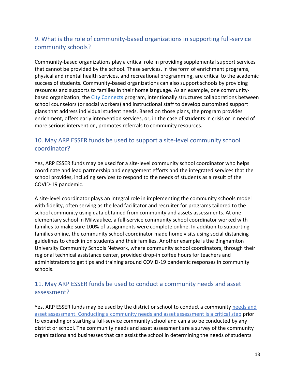# <span id="page-12-0"></span>9. What is the role of community-based organizations in supporting full-service community schools?

Community-based organizations play a critical role in providing supplemental support services that cannot be provided by the school. These services, in the form of enrichment programs, physical and mental health services, and recreational programming, are critical to the academic success of students. Community-based organizations can also support schools by providing resources and supports to families in their home language. As an example, one community-based organization, the [City Connects](https://www.bc.edu/content/bc-web/schools/lynch-school/sites/cityconnects.html) program, intentionally structures collaborations between school counselors (or social workers) and instructional staff to develop customized support plans that address individual student needs. Based on those plans, the program provides enrichment, offers early intervention services, or, in the case of students in crisis or in need of more serious intervention, promotes referrals to community resources.

#### <span id="page-12-1"></span>10. May ARP ESSER funds be used to support a site-level community school coordinator?

Yes, ARP ESSER funds may be used for a site-level community school coordinator who helps coordinate and lead partnership and engagement efforts and the integrated services that the school provides, including services to respond to the needs of students as a result of the COVID-19 pandemic.

A site-level coordinator plays an integral role in implementing the community schools model with fidelity, often serving as the lead facilitator and recruiter for programs tailored to the school community using data obtained from community and assets assessments. At one elementary school in Milwaukee, a full-service community school coordinator worked with families to make sure 100% of assignments were complete online. In addition to supporting families online, the community school coordinator made home visits using social distancing guidelines to check in on students and their families. Another example is the Binghamton University Community Schools Network, where community school coordinators, through their regional technical assistance center, provided drop-in coffee hours for teachers and administrators to get tips and training around COVID-19 pandemic responses in community schools.

#### <span id="page-12-2"></span>11. May ARP ESSER funds be used to conduct a community needs and asset assessment?

Yes, ARP ESSER funds may be used by the district or school to conduct a community [needs](https://drive.google.com/file/d/1W3gjG7EzJbMHA3nQRdf5IndNIpkGKvUp/view) and [asset assessment.](https://drive.google.com/file/d/1W3gjG7EzJbMHA3nQRdf5IndNIpkGKvUp/view) Conducting a community needs and asset assessment is a critical step prior to expanding or starting a full-service community school and can also be conducted by any district or school. The community needs and asset assessment are a survey of the community organizations and businesses that can assist the school in determining the needs of students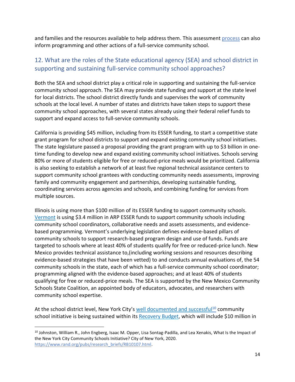and families and the resources available to help address them. This assessmen[t process](https://drive.google.com/file/d/1zMdmBQ4XWgdlcj4u7G-5jM9O4AI2VWpP/view) can also inform programming and other actions of a full-service community school.

### <span id="page-13-0"></span>12. What are the roles of the State educational agency (SEA) and school district in supporting and sustaining full-service community school approaches?

Both the SEA and school district play a critical role in supporting and sustaining the full-service community school approach. The SEA may provide state funding and support at the state level for local districts. The school district directly funds and supervises the work of community schools at the local level. A number of states and districts have taken steps to support these community school approaches, with several states already using their federal relief funds to support and expand access to full-service community schools.

California is providing \$45 million, including from its ESSER funding, to start a competitive state grant program for school districts to support and expand existing community school initiatives. The state legislature passed a proposal providing the grant program with up to \$3 billion in onetime funding to develop new and expand existing community school initiatives. Schools serving 80% or more of students eligible for free or reduced-price meals would be prioritized. California is also seeking to establish a network of at least five regional technical assistance centers to support community school grantees with conducting community needs assessments, improving family and community engagement and partnerships, developing sustainable funding, coordinating services across agencies and schools, and combining funding for services from multiple sources.

Illinois is using more than \$100 million of its ESSER funding to support community schools. [Vermont](https://legislature.vermont.gov/Documents/2022/Docs/BILLS/H-0106/H-0106%20As%20Passed%20by%20Both%20House%20and%20Senate%20Unofficial.pdf) is using \$3.4 million in ARP ESSER funds to support community schools including community school coordinators, collaborative needs and assets assessments, and evidencebased programming. Vermont's underlying legislation defines evidence-based pillars of community schools to support research-based program design and use of funds. Funds are targeted to schools where at least 40% of students qualify for free or reduced-price lunch. New Mexico provides technical assistance to,(including working sessions and resources describing evidence-based strategies that have been vetted) to and conducts annual evaluations of, the 54 community schools in the state, each of which has a full-service community school coordinator; programming aligned with the evidence-based approaches; and at least 40% of students qualifying for free or reduced-price meals. The SEA is supported by the New Mexico Community Schools State Coalition, an appointed body of educators, advocates, and researchers with community school expertise.

At the school district level, New York City's [well documented and successful](https://www.rand.org/pubs/research_briefs/RB10107.html)<sup>10</sup> community school initiative is being sustained within its [Recovery Budget,](https://www1.nyc.gov/assets/omb/downloads/pdf/sum4-21.pdf) which will include \$10 million in

<sup>&</sup>lt;sup>10</sup> Johnston, William R., John Engberg, Isaac M. Opper, Lisa Sontag-Padilla, and Lea Xenakis, What Is the Impact of the New York City Community Schools Initiative? City of New York, 2020. [https://www.rand.org/pubs/research\\_briefs/RB10107.html.](https://www.rand.org/pubs/research_briefs/RB10107.html)